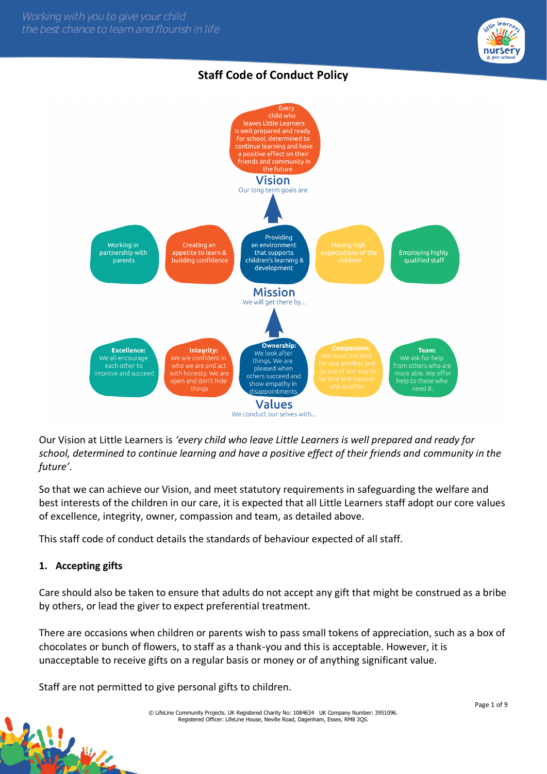

# **Staff Code of Conduct Policy**



Our Vision at Little Learners is *'every child who leave Little Learners is well prepared and ready for school, determined to continue learning and have a positive effect of their friends and community in the future'*.

So that we can achieve our Vision, and meet statutory requirements in safeguarding the welfare and best interests of the children in our care, it is expected that all Little Learners staff adopt our core values of excellence, integrity, owner, compassion and team, as detailed above.

This staff code of conduct details the standards of behaviour expected of all staff.

## **1. Accepting gifts**

Care should also be taken to ensure that adults do not accept any gift that might be construed as a bribe by others, or lead the giver to expect preferential treatment.

There are occasions when children or parents wish to pass small tokens of appreciation, such as a box of chocolates or bunch of flowers, to staff as a thank-you and this is acceptable. However, it is unacceptable to receive gifts on a regular basis or money or of anything significant value.

Staff are not permitted to give personal gifts to children.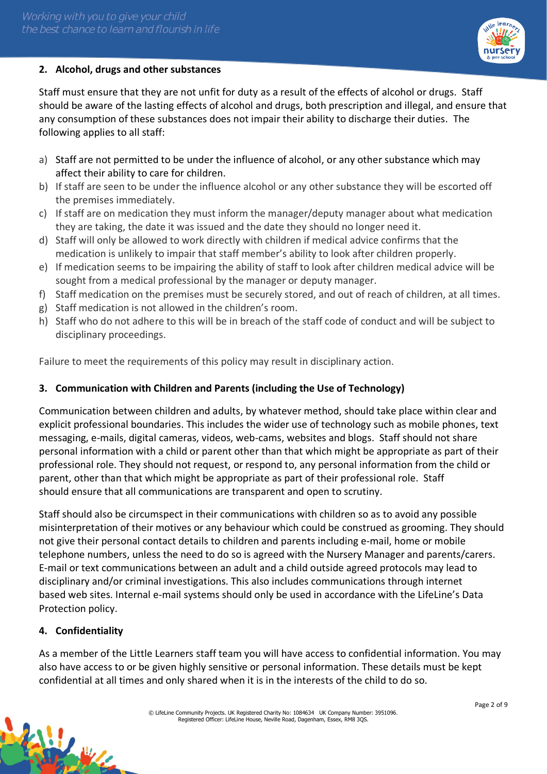

Staff must ensure that they are not unfit for duty as a result of the effects of alcohol or drugs. Staff should be aware of the lasting effects of alcohol and drugs, both prescription and illegal, and ensure that any consumption of these substances does not impair their ability to discharge their duties. The following applies to all staff:

- a) Staff are not permitted to be under the influence of alcohol, or any other substance which may affect their ability to care for children.
- b) If staff are seen to be under the influence alcohol or any other substance they will be escorted off the premises immediately.
- c) If staff are on medication they must inform the manager/deputy manager about what medication they are taking, the date it was issued and the date they should no longer need it.
- d) Staff will only be allowed to work directly with children if medical advice confirms that the medication is unlikely to impair that staff member's ability to look after children properly.
- e) If medication seems to be impairing the ability of staff to look after children medical advice will be sought from a medical professional by the manager or deputy manager.
- f) Staff medication on the premises must be securely stored, and out of reach of children, at all times.
- g) Staff medication is not allowed in the children's room.
- h) Staff who do not adhere to this will be in breach of the staff code of conduct and will be subject to disciplinary proceedings.

Failure to meet the requirements of this policy may result in disciplinary action.

# **3. Communication with Children and Parents (including the Use of Technology)**

Communication between children and adults, by whatever method, should take place within clear and explicit professional boundaries. This includes the wider use of technology such as mobile phones, text messaging, e-mails, digital cameras, videos, web-cams, websites and blogs. Staff should not share personal information with a child or parent other than that which might be appropriate as part of their professional role. They should not request, or respond to, any personal information from the child or parent, other than that which might be appropriate as part of their professional role. Staff should ensure that all communications are transparent and open to scrutiny.

Staff should also be circumspect in their communications with children so as to avoid any possible misinterpretation of their motives or any behaviour which could be construed as grooming. They should not give their personal contact details to children and parents including e-mail, home or mobile telephone numbers, unless the need to do so is agreed with the Nursery Manager and parents/carers. E-mail or text communications between an adult and a child outside agreed protocols may lead to disciplinary and/or criminal investigations. This also includes communications through internet based web sites. Internal e-mail systems should only be used in accordance with the LifeLine's Data Protection policy.

# **4. Confidentiality**

West

As a member of the Little Learners staff team you will have access to confidential information. You may also have access to or be given highly sensitive or personal information. These details must be kept confidential at all times and only shared when it is in the interests of the child to do so.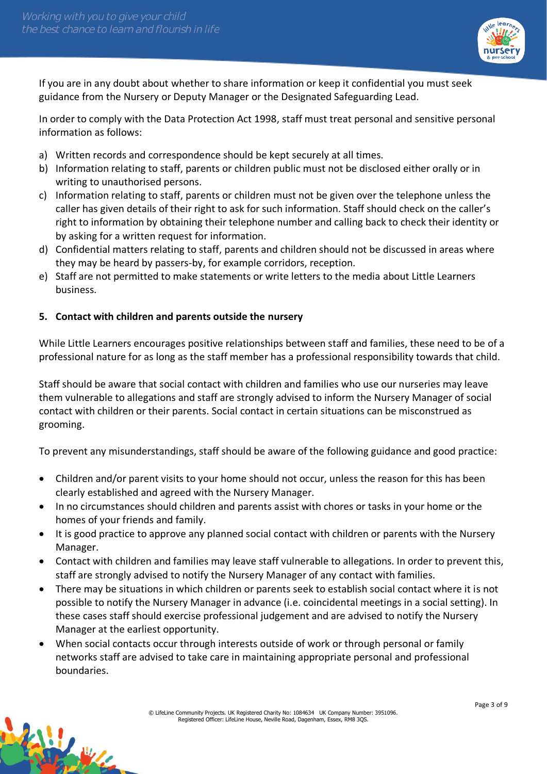

If you are in any doubt about whether to share information or keep it confidential you must seek guidance from the Nursery or Deputy Manager or the Designated Safeguarding Lead.

In order to comply with the Data Protection Act 1998, staff must treat personal and sensitive personal information as follows:

- a) Written records and correspondence should be kept securely at all times.
- b) Information relating to staff, parents or children public must not be disclosed either orally or in writing to unauthorised persons.
- c) Information relating to staff, parents or children must not be given over the telephone unless the caller has given details of their right to ask for such information. Staff should check on the caller's right to information by obtaining their telephone number and calling back to check their identity or by asking for a written request for information.
- d) Confidential matters relating to staff, parents and children should not be discussed in areas where they may be heard by passers-by, for example corridors, reception.
- e) Staff are not permitted to make statements or write letters to the media about Little Learners business.

## **5. Contact with children and parents outside the nursery**

W.

While Little Learners encourages positive relationships between staff and families, these need to be of a professional nature for as long as the staff member has a professional responsibility towards that child.

Staff should be aware that social contact with children and families who use our nurseries may leave them vulnerable to allegations and staff are strongly advised to inform the Nursery Manager of social contact with children or their parents. Social contact in certain situations can be misconstrued as grooming.

To prevent any misunderstandings, staff should be aware of the following guidance and good practice:

- Children and/or parent visits to your home should not occur, unless the reason for this has been clearly established and agreed with the Nursery Manager.
- In no circumstances should children and parents assist with chores or tasks in your home or the homes of your friends and family.
- It is good practice to approve any planned social contact with children or parents with the Nursery Manager.
- Contact with children and families may leave staff vulnerable to allegations. In order to prevent this, staff are strongly advised to notify the Nursery Manager of any contact with families.
- There may be situations in which children or parents seek to establish social contact where it is not possible to notify the Nursery Manager in advance (i.e. coincidental meetings in a social setting). In these cases staff should exercise professional judgement and are advised to notify the Nursery Manager at the earliest opportunity.
- When social contacts occur through interests outside of work or through personal or family networks staff are advised to take care in maintaining appropriate personal and professional boundaries.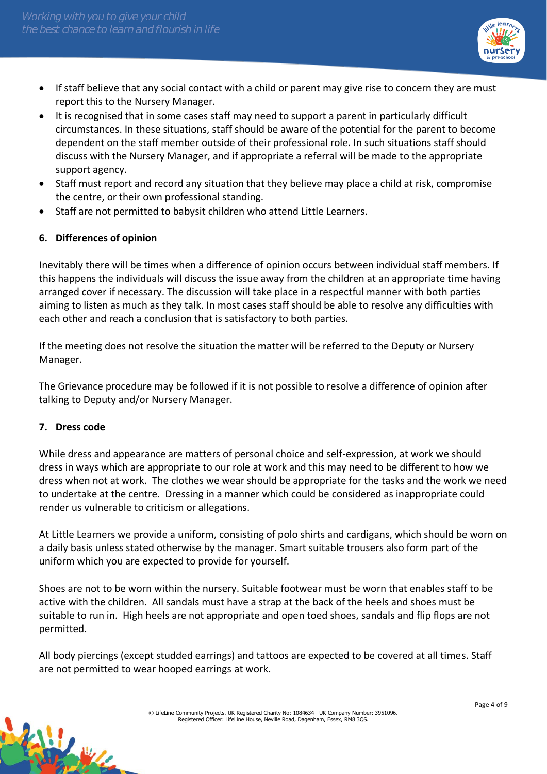

- If staff believe that any social contact with a child or parent may give rise to concern they are must report this to the Nursery Manager.
- It is recognised that in some cases staff may need to support a parent in particularly difficult circumstances. In these situations, staff should be aware of the potential for the parent to become dependent on the staff member outside of their professional role. In such situations staff should discuss with the Nursery Manager, and if appropriate a referral will be made to the appropriate support agency.
- Staff must report and record any situation that they believe may place a child at risk, compromise the centre, or their own professional standing.
- Staff are not permitted to babysit children who attend Little Learners.

## **6. Differences of opinion**

Inevitably there will be times when a difference of opinion occurs between individual staff members. If this happens the individuals will discuss the issue away from the children at an appropriate time having arranged cover if necessary. The discussion will take place in a respectful manner with both parties aiming to listen as much as they talk. In most cases staff should be able to resolve any difficulties with each other and reach a conclusion that is satisfactory to both parties.

If the meeting does not resolve the situation the matter will be referred to the Deputy or Nursery Manager.

The Grievance procedure may be followed if it is not possible to resolve a difference of opinion after talking to Deputy and/or Nursery Manager.

#### **7. Dress code**

While dress and appearance are matters of personal choice and self-expression, at work we should dress in ways which are appropriate to our role at work and this may need to be different to how we dress when not at work. The clothes we wear should be appropriate for the tasks and the work we need to undertake at the centre. Dressing in a manner which could be considered as inappropriate could render us vulnerable to criticism or allegations.

At Little Learners we provide a uniform, consisting of polo shirts and cardigans, which should be worn on a daily basis unless stated otherwise by the manager. Smart suitable trousers also form part of the uniform which you are expected to provide for yourself.

Shoes are not to be worn within the nursery. Suitable footwear must be worn that enables staff to be active with the children. All sandals must have a strap at the back of the heels and shoes must be suitable to run in. High heels are not appropriate and open toed shoes, sandals and flip flops are not permitted.

All body piercings (except studded earrings) and tattoos are expected to be covered at all times. Staff are not permitted to wear hooped earrings at work.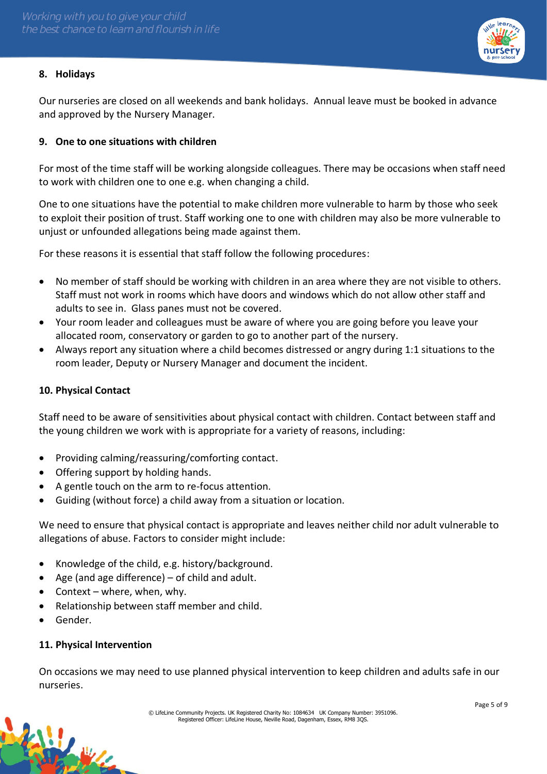

## **8. Holidays**

Our nurseries are closed on all weekends and bank holidays. Annual leave must be booked in advance and approved by the Nursery Manager.

## **9. One to one situations with children**

For most of the time staff will be working alongside colleagues. There may be occasions when staff need to work with children one to one e.g. when changing a child.

One to one situations have the potential to make children more vulnerable to harm by those who seek to exploit their position of trust. Staff working one to one with children may also be more vulnerable to unjust or unfounded allegations being made against them.

For these reasons it is essential that staff follow the following procedures:

- No member of staff should be working with children in an area where they are not visible to others. Staff must not work in rooms which have doors and windows which do not allow other staff and adults to see in. Glass panes must not be covered.
- Your room leader and colleagues must be aware of where you are going before you leave your allocated room, conservatory or garden to go to another part of the nursery.
- Always report any situation where a child becomes distressed or angry during 1:1 situations to the room leader, Deputy or Nursery Manager and document the incident.

#### **10. Physical Contact**

Staff need to be aware of sensitivities about physical contact with children. Contact between staff and the young children we work with is appropriate for a variety of reasons, including:

- Providing calming/reassuring/comforting contact.
- Offering support by holding hands.
- A gentle touch on the arm to re-focus attention.
- Guiding (without force) a child away from a situation or location.

We need to ensure that physical contact is appropriate and leaves neither child nor adult vulnerable to allegations of abuse. Factors to consider might include:

- Knowledge of the child, e.g. history/background.
- Age (and age difference)  $-$  of child and adult.
- Context where, when, why.
- Relationship between staff member and child.
- Gender.

W.

#### **11. Physical Intervention**

On occasions we may need to use planned physical intervention to keep children and adults safe in our nurseries.

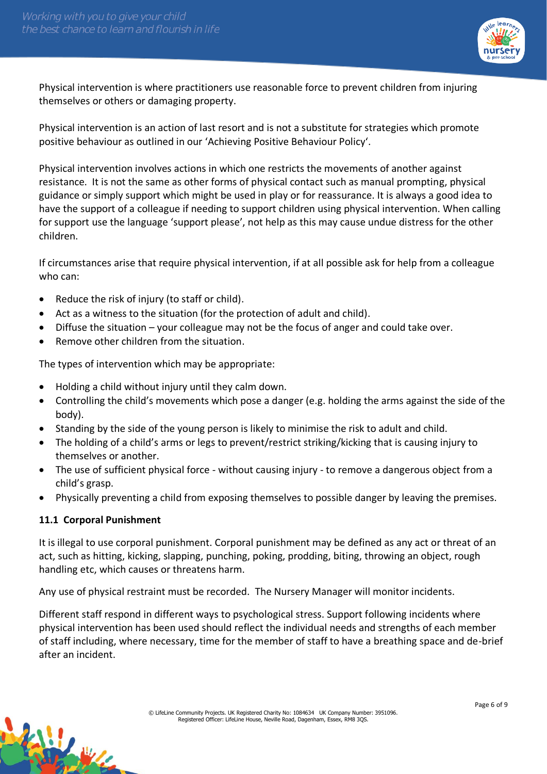

Physical intervention is where practitioners use reasonable force to prevent children from injuring themselves or others or damaging property.

Physical intervention is an action of last resort and is not a substitute for strategies which promote positive behaviour as outlined in our 'Achieving Positive Behaviour Policy'.

Physical intervention involves actions in which one restricts the movements of another against resistance. It is not the same as other forms of physical contact such as manual prompting, physical guidance or simply support which might be used in play or for reassurance. It is always a good idea to have the support of a colleague if needing to support children using physical intervention. When calling for support use the language 'support please', not help as this may cause undue distress for the other children.

If circumstances arise that require physical intervention, if at all possible ask for help from a colleague who can:

- Reduce the risk of injury (to staff or child).
- Act as a witness to the situation (for the protection of adult and child).
- Diffuse the situation your colleague may not be the focus of anger and could take over.
- Remove other children from the situation.

The types of intervention which may be appropriate:

- Holding a child without injury until they calm down.
- Controlling the child's movements which pose a danger (e.g. holding the arms against the side of the body).
- Standing by the side of the young person is likely to minimise the risk to adult and child.
- The holding of a child's arms or legs to prevent/restrict striking/kicking that is causing injury to themselves or another.
- The use of sufficient physical force without causing injury to remove a dangerous object from a child's grasp.
- Physically preventing a child from exposing themselves to possible danger by leaving the premises.

#### **11.1 Corporal Punishment**

W.

It is illegal to use corporal punishment. Corporal punishment may be defined as any act or threat of an act, such as hitting, kicking, slapping, punching, poking, prodding, biting, throwing an object, rough handling etc, which causes or threatens harm.

Any use of physical restraint must be recorded. The Nursery Manager will monitor incidents.

Different staff respond in different ways to psychological stress. Support following incidents where physical intervention has been used should reflect the individual needs and strengths of each member of staff including, where necessary, time for the member of staff to have a breathing space and de-brief after an incident.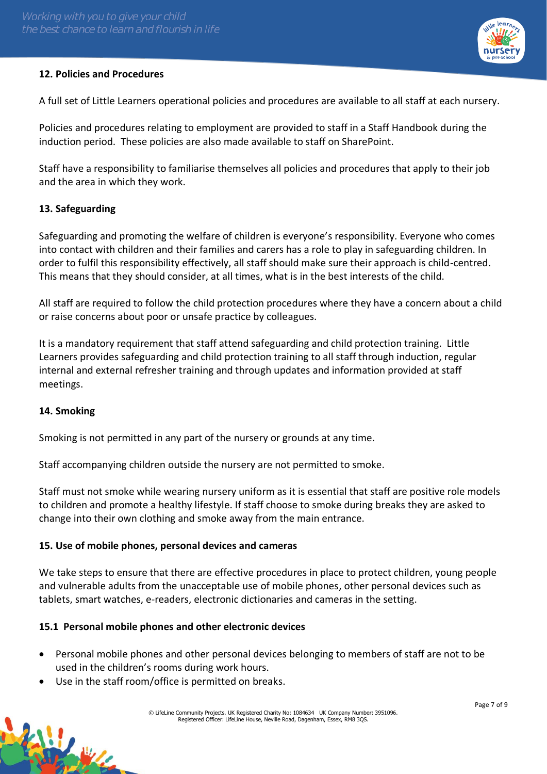

## **12. Policies and Procedures**

A full set of Little Learners operational policies and procedures are available to all staff at each nursery.

Policies and procedures relating to employment are provided to staff in a Staff Handbook during the induction period. These policies are also made available to staff on SharePoint.

Staff have a responsibility to familiarise themselves all policies and procedures that apply to their job and the area in which they work.

## **13. Safeguarding**

Safeguarding and promoting the welfare of children is everyone's responsibility. Everyone who comes into contact with children and their families and carers has a role to play in safeguarding children. In order to fulfil this responsibility effectively, all staff should make sure their approach is child-centred. This means that they should consider, at all times, what is in the best interests of the child.

All staff are required to follow the child protection procedures where they have a concern about a child or raise concerns about poor or unsafe practice by colleagues.

It is a mandatory requirement that staff attend safeguarding and child protection training. Little Learners provides safeguarding and child protection training to all staff through induction, regular internal and external refresher training and through updates and information provided at staff meetings.

#### **14. Smoking**

Smoking is not permitted in any part of the nursery or grounds at any time.

Staff accompanying children outside the nursery are not permitted to smoke.

Staff must not smoke while wearing nursery uniform as it is essential that staff are positive role models to children and promote a healthy lifestyle. If staff choose to smoke during breaks they are asked to change into their own clothing and smoke away from the main entrance.

## **15. Use of mobile phones, personal devices and cameras**

We take steps to ensure that there are effective procedures in place to protect children, young people and vulnerable adults from the unacceptable use of mobile phones, other personal devices such as tablets, smart watches, e-readers, electronic dictionaries and cameras in the setting.

#### **15.1 Personal mobile phones and other electronic devices**

- Personal mobile phones and other personal devices belonging to members of staff are not to be used in the children's rooms during work hours.
- Use in the staff room/office is permitted on breaks.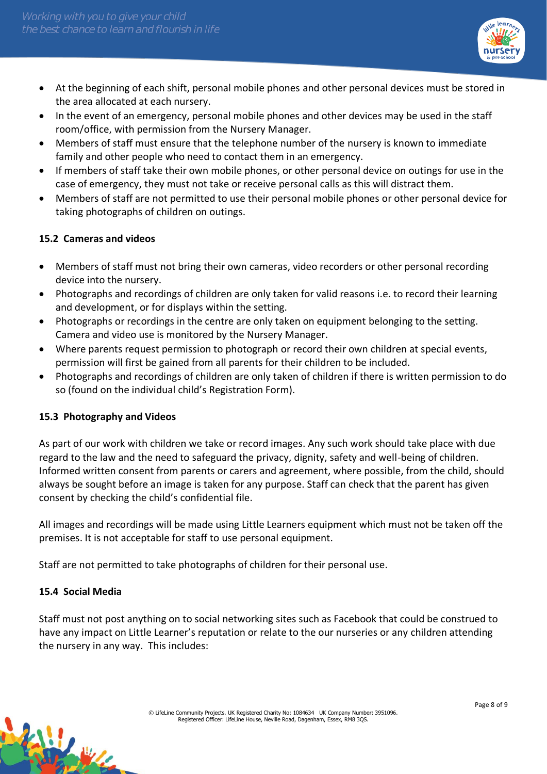

- At the beginning of each shift, personal mobile phones and other personal devices must be stored in the area allocated at each nursery.
- In the event of an emergency, personal mobile phones and other devices may be used in the staff room/office, with permission from the Nursery Manager.
- Members of staff must ensure that the telephone number of the nursery is known to immediate family and other people who need to contact them in an emergency.
- If members of staff take their own mobile phones, or other personal device on outings for use in the case of emergency, they must not take or receive personal calls as this will distract them.
- Members of staff are not permitted to use their personal mobile phones or other personal device for taking photographs of children on outings.

## **15.2 Cameras and videos**

- Members of staff must not bring their own cameras, video recorders or other personal recording device into the nursery.
- Photographs and recordings of children are only taken for valid reasons i.e. to record their learning and development, or for displays within the setting.
- Photographs or recordings in the centre are only taken on equipment belonging to the setting. Camera and video use is monitored by the Nursery Manager.
- Where parents request permission to photograph or record their own children at special events, permission will first be gained from all parents for their children to be included.
- Photographs and recordings of children are only taken of children if there is written permission to do so (found on the individual child's Registration Form).

#### **15.3 Photography and Videos**

As part of our work with children we take or record images. Any such work should take place with due regard to the law and the need to safeguard the privacy, dignity, safety and well-being of children. Informed written consent from parents or carers and agreement, where possible, from the child, should always be sought before an image is taken for any purpose. Staff can check that the parent has given consent by checking the child's confidential file.

All images and recordings will be made using Little Learners equipment which must not be taken off the premises. It is not acceptable for staff to use personal equipment.

Staff are not permitted to take photographs of children for their personal use.

#### **15.4 Social Media**

Staff must not post anything on to social networking sites such as Facebook that could be construed to have any impact on Little Learner's reputation or relate to the our nurseries or any children attending the nursery in any way. This includes: